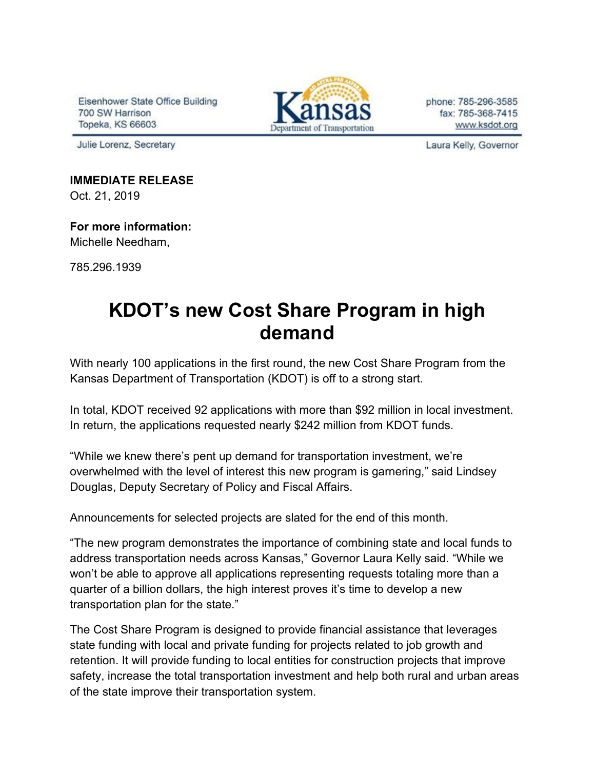Eisenhower State Office Building 700 SW Harrison Topeka, KS 66603

Julie Lorenz, Secretary



phone: 785-296-3585 fax: 785-368-7415 www.ksdot.org

Laura Kelly, Governor

**IMMEDIATE RELEASE**

Oct. 21, 2019

## **For more information:**

Michelle Needham,

785.296.1939

## **KDOT's new Cost Share Program in high demand**

With nearly 100 applications in the first round, the new Cost Share Program from the Kansas Department of Transportation (KDOT) is off to a strong start.

In total, KDOT received 92 applications with more than \$92 million in local investment. In return, the applications requested nearly \$242 million from KDOT funds.

"While we knew there's pent up demand for transportation investment, we're overwhelmed with the level of interest this new program is garnering," said Lindsey Douglas, Deputy Secretary of Policy and Fiscal Affairs.

Announcements for selected projects are slated for the end of this month.

"The new program demonstrates the importance of combining state and local funds to address transportation needs across Kansas," Governor Laura Kelly said. "While we won't be able to approve all applications representing requests totaling more than a quarter of a billion dollars, the high interest proves it's time to develop a new transportation plan for the state."

The Cost Share Program is designed to provide financial assistance that leverages state funding with local and private funding for projects related to job growth and retention. It will provide funding to local entities for construction projects that improve safety, increase the total transportation investment and help both rural and urban areas of the state improve their transportation system.